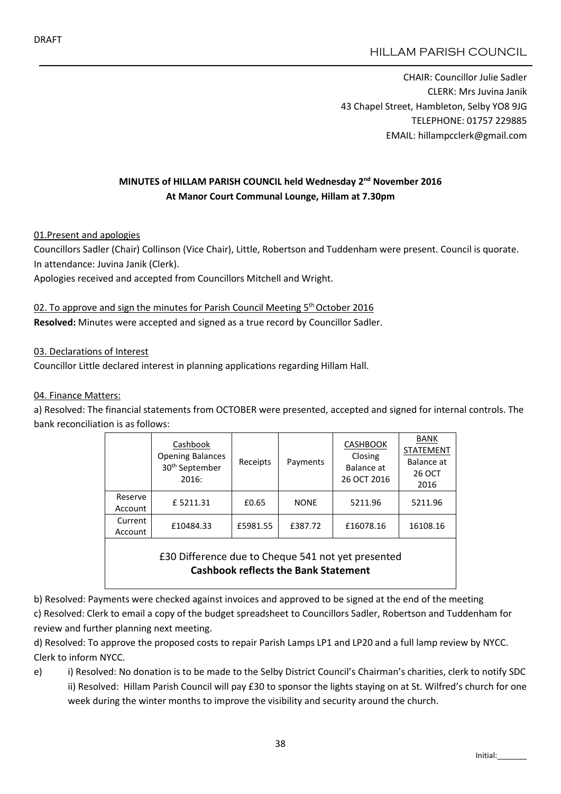CHAIR: Councillor Julie Sadler CLERK: Mrs Juvina Janik 43 Chapel Street, Hambleton, Selby YO8 9JG TELEPHONE: 01757 229885 EMAIL: hillampcclerk@gmail.com

## MINUTES of HILLAM PARISH COUNCIL held Wednesday 2<sup>nd</sup> November 2016 At Manor Court Communal Lounge, Hillam at 7.30pm

01.Present and apologies

Councillors Sadler (Chair) Collinson (Vice Chair), Little, Robertson and Tuddenham were present. Council is quorate. In attendance: Juvina Janik (Clerk).

Apologies received and accepted from Councillors Mitchell and Wright.

#### 02. To approve and sign the minutes for Parish Council Meeting 5<sup>th</sup> October 2016 Resolved: Minutes were accepted and signed as a true record by Councillor Sadler.

03. Declarations of Interest

Councillor Little declared interest in planning applications regarding Hillam Hall.

#### 04. Finance Matters:

a) Resolved: The financial statements from OCTOBER were presented, accepted and signed for internal controls. The bank reconciliation is as follows:

|                    | Cashbook<br><b>Opening Balances</b><br>30 <sup>th</sup> September<br>2016: | Receipts | Payments    | <b>CASHBOOK</b><br>Closing<br>Balance at<br>26 OCT 2016 | <b>BANK</b><br><b>STATEMENT</b><br>Balance at<br><b>26 OCT</b><br>2016 |
|--------------------|----------------------------------------------------------------------------|----------|-------------|---------------------------------------------------------|------------------------------------------------------------------------|
| Reserve<br>Account | £5211.31                                                                   | £0.65    | <b>NONE</b> | 5211.96                                                 | 5211.96                                                                |
| Current<br>Account | £10484.33                                                                  | £5981.55 | £387.72     | £16078.16                                               | 16108.16                                                               |
|                    |                                                                            |          |             |                                                         |                                                                        |

£30 Difference due to Cheque 541 not yet presented Cashbook reflects the Bank Statement

b) Resolved: Payments were checked against invoices and approved to be signed at the end of the meeting c) Resolved: Clerk to email a copy of the budget spreadsheet to Councillors Sadler, Robertson and Tuddenham for review and further planning next meeting.

d) Resolved: To approve the proposed costs to repair Parish Lamps LP1 and LP20 and a full lamp review by NYCC. Clerk to inform NYCC.

e) i) Resolved: No donation is to be made to the Selby District Council's Chairman's charities, clerk to notify SDC ii) Resolved: Hillam Parish Council will pay £30 to sponsor the lights staying on at St. Wilfred's church for one week during the winter months to improve the visibility and security around the church.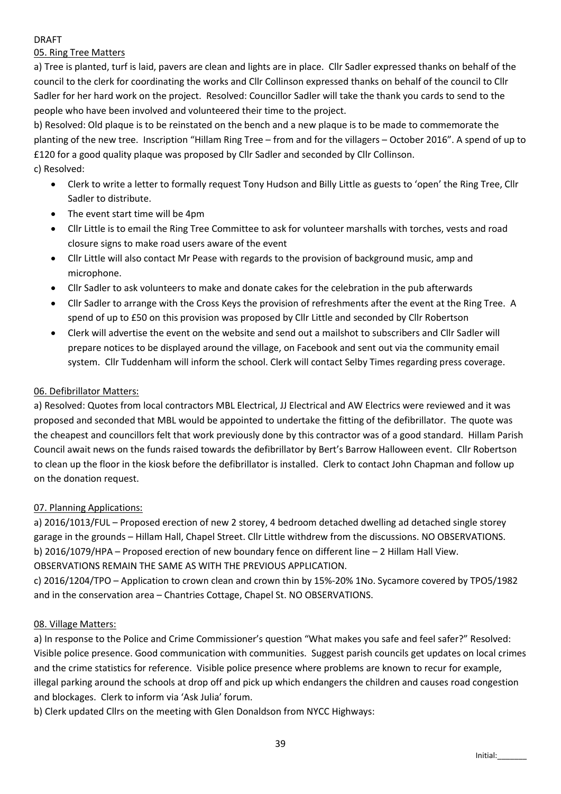#### DRAFT

## 05. Ring Tree Matters

a) Tree is planted, turf is laid, pavers are clean and lights are in place. Cllr Sadler expressed thanks on behalf of the council to the clerk for coordinating the works and Cllr Collinson expressed thanks on behalf of the council to Cllr Sadler for her hard work on the project. Resolved: Councillor Sadler will take the thank you cards to send to the people who have been involved and volunteered their time to the project.

b) Resolved: Old plaque is to be reinstated on the bench and a new plaque is to be made to commemorate the planting of the new tree. Inscription "Hillam Ring Tree – from and for the villagers – October 2016". A spend of up to £120 for a good quality plaque was proposed by Cllr Sadler and seconded by Cllr Collinson. c) Resolved:

- Clerk to write a letter to formally request Tony Hudson and Billy Little as guests to 'open' the Ring Tree, Cllr Sadler to distribute.
- The event start time will be 4pm
- Cllr Little is to email the Ring Tree Committee to ask for volunteer marshalls with torches, vests and road closure signs to make road users aware of the event
- Cllr Little will also contact Mr Pease with regards to the provision of background music, amp and microphone.
- Cllr Sadler to ask volunteers to make and donate cakes for the celebration in the pub afterwards
- Cllr Sadler to arrange with the Cross Keys the provision of refreshments after the event at the Ring Tree. A spend of up to £50 on this provision was proposed by Cllr Little and seconded by Cllr Robertson
- Clerk will advertise the event on the website and send out a mailshot to subscribers and Cllr Sadler will prepare notices to be displayed around the village, on Facebook and sent out via the community email system. Cllr Tuddenham will inform the school. Clerk will contact Selby Times regarding press coverage.

## 06. Defibrillator Matters:

a) Resolved: Quotes from local contractors MBL Electrical, JJ Electrical and AW Electrics were reviewed and it was proposed and seconded that MBL would be appointed to undertake the fitting of the defibrillator. The quote was the cheapest and councillors felt that work previously done by this contractor was of a good standard. Hillam Parish Council await news on the funds raised towards the defibrillator by Bert's Barrow Halloween event. Cllr Robertson to clean up the floor in the kiosk before the defibrillator is installed. Clerk to contact John Chapman and follow up on the donation request.

### 07. Planning Applications:

a) 2016/1013/FUL – Proposed erection of new 2 storey, 4 bedroom detached dwelling ad detached single storey garage in the grounds – Hillam Hall, Chapel Street. Cllr Little withdrew from the discussions. NO OBSERVATIONS. b) 2016/1079/HPA – Proposed erection of new boundary fence on different line – 2 Hillam Hall View. OBSERVATIONS REMAIN THE SAME AS WITH THE PREVIOUS APPLICATION.

c) 2016/1204/TPO – Application to crown clean and crown thin by 15%-20% 1No. Sycamore covered by TPO5/1982 and in the conservation area – Chantries Cottage, Chapel St. NO OBSERVATIONS.

### 08. Village Matters:

a) In response to the Police and Crime Commissioner's question "What makes you safe and feel safer?" Resolved: Visible police presence. Good communication with communities. Suggest parish councils get updates on local crimes and the crime statistics for reference. Visible police presence where problems are known to recur for example, illegal parking around the schools at drop off and pick up which endangers the children and causes road congestion and blockages. Clerk to inform via 'Ask Julia' forum.

b) Clerk updated Cllrs on the meeting with Glen Donaldson from NYCC Highways: